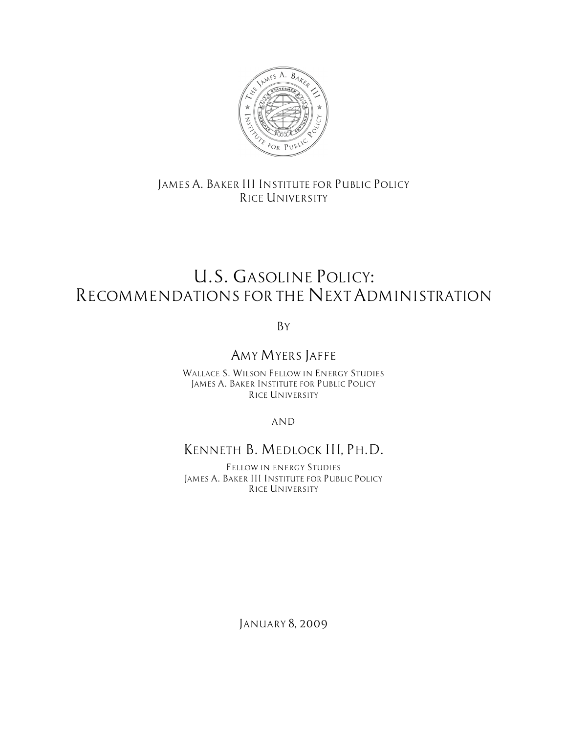

### *JAMES A. BAKER III INSTITUTE FOR PUBLIC POLICY RICE UNIVERSITY*

# *U.S. GASOLINE POLICY: RECOMMENDATIONS FOR THE NEXT ADMINISTRATION*

*By*

# *AMY MYERS JAFFE*

*WALLACE S. WILSON FELLOW IN ENERGY STUDIES JAMES A. BAKER INSTITUTE FOR PUBLIC POLICY RICE UNIVERSITY*

*AND*

### *KENNETH B. MEDLOCK III, PH.D.*

*FELLOW IN ENERGY STUDIES JAMES A. BAKER III INSTITUTE FOR PUBLIC POLICY RICE UNIVERSITY*

*JANUARY 8, 2009*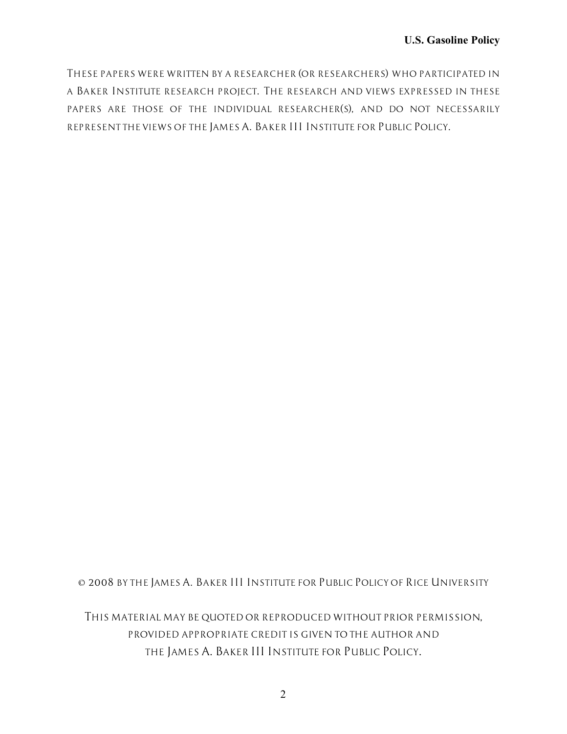*THESE PAPERS WERE WRITTEN BY A RESEARCHER (OR RESEARCHERS) WHO PARTICIPATED IN A BAKER INSTITUTE RESEARCH PROJECT. THE RESEARCH AND VIEWS EXPRESSED IN THESE PAPERS ARE THOSE OF THE INDIVIDUAL RESEARCHER(S), AND DO NOT NECESSARILY REPRESENT THE VIEWS OF THE JAMES A. BAKER III INSTITUTE FOR PUBLIC POLICY.*

*© 2008 BY THE JAMES A. BAKER III INSTITUTE FOR PUBLIC POLICY OF RICE UNIVERSITY*

*THIS MATERIAL MAY BE QUOTED OR REPRODUCED WITHOUT PRIOR PERMISSION, PROVIDED APPROPRIATE CREDIT IS GIVEN TO THE AUTHOR AND THE JAMES A. BAKER III INSTITUTE FOR PUBLIC POLICY.*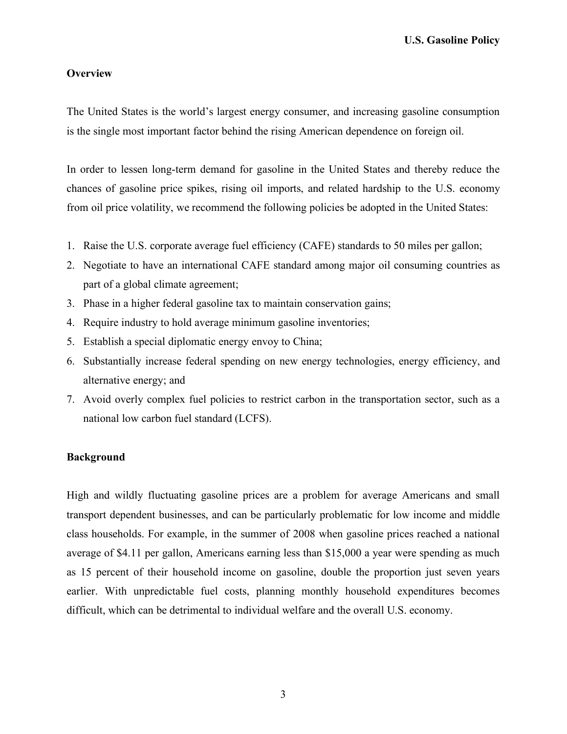### **Overview**

The United States is the world's largest energy consumer, and increasing gasoline consumption is the single most important factor behind the rising American dependence on foreign oil.

In order to lessen long-term demand for gasoline in the United States and thereby reduce the chances of gasoline price spikes, rising oil imports, and related hardship to the U.S. economy from oil price volatility, we recommend the following policies be adopted in the United States:

- 1. Raise the U.S. corporate average fuel efficiency (CAFE) standards to 50 miles per gallon;
- 2. Negotiate to have an international CAFE standard among major oil consuming countries as part of a global climate agreement;
- 3. Phase in a higher federal gasoline tax to maintain conservation gains;
- 4. Require industry to hold average minimum gasoline inventories;
- 5. Establish a special diplomatic energy envoy to China;
- 6. Substantially increase federal spending on new energy technologies, energy efficiency, and alternative energy; and
- 7. Avoid overly complex fuel policies to restrict carbon in the transportation sector, such as a national low carbon fuel standard (LCFS).

### **Background**

High and wildly fluctuating gasoline prices are a problem for average Americans and small transport dependent businesses, and can be particularly problematic for low income and middle class households. For example, in the summer of 2008 when gasoline prices reached a national average of \$4.11 per gallon, Americans earning less than \$15,000 a year were spending as much as 15 percent of their household income on gasoline, double the proportion just seven years earlier. With unpredictable fuel costs, planning monthly household expenditures becomes difficult, which can be detrimental to individual welfare and the overall U.S. economy.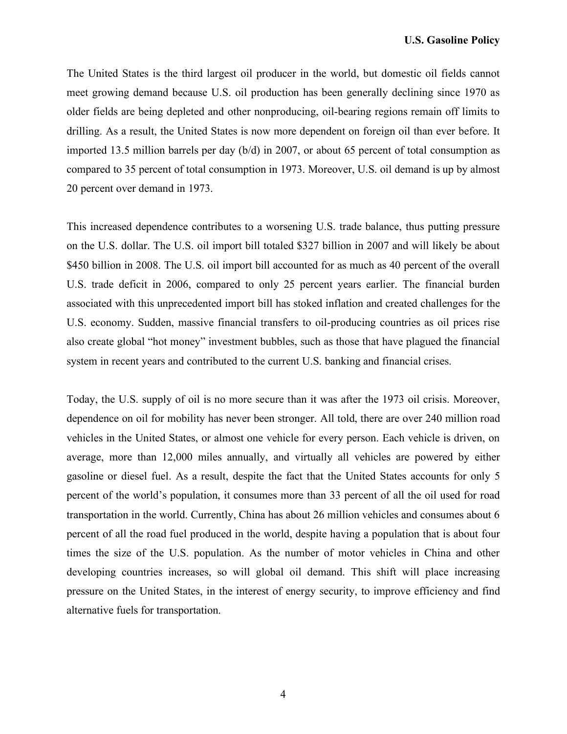The United States is the third largest oil producer in the world, but domestic oil fields cannot meet growing demand because U.S. oil production has been generally declining since 1970 as older fields are being depleted and other nonproducing, oil-bearing regions remain off limits to drilling. As a result, the United States is now more dependent on foreign oil than ever before. It imported 13.5 million barrels per day (b/d) in 2007, or about 65 percent of total consumption as compared to 35 percent of total consumption in 1973. Moreover, U.S. oil demand is up by almost 20 percent over demand in 1973.

This increased dependence contributes to a worsening U.S. trade balance, thus putting pressure on the U.S. dollar. The U.S. oil import bill totaled \$327 billion in 2007 and will likely be about \$450 billion in 2008. The U.S. oil import bill accounted for as much as 40 percent of the overall U.S. trade deficit in 2006, compared to only 25 percent years earlier. The financial burden associated with this unprecedented import bill has stoked inflation and created challenges for the U.S. economy. Sudden, massive financial transfers to oil-producing countries as oil prices rise also create global "hot money" investment bubbles, such as those that have plagued the financial system in recent years and contributed to the current U.S. banking and financial crises.

Today, the U.S. supply of oil is no more secure than it was after the 1973 oil crisis. Moreover, dependence on oil for mobility has never been stronger. All told, there are over 240 million road vehicles in the United States, or almost one vehicle for every person. Each vehicle is driven, on average, more than 12,000 miles annually, and virtually all vehicles are powered by either gasoline or diesel fuel. As a result, despite the fact that the United States accounts for only 5 percent of the world's population, it consumes more than 33 percent of all the oil used for road transportation in the world. Currently, China has about 26 million vehicles and consumes about 6 percent of all the road fuel produced in the world, despite having a population that is about four times the size of the U.S. population. As the number of motor vehicles in China and other developing countries increases, so will global oil demand. This shift will place increasing pressure on the United States, in the interest of energy security, to improve efficiency and find alternative fuels for transportation.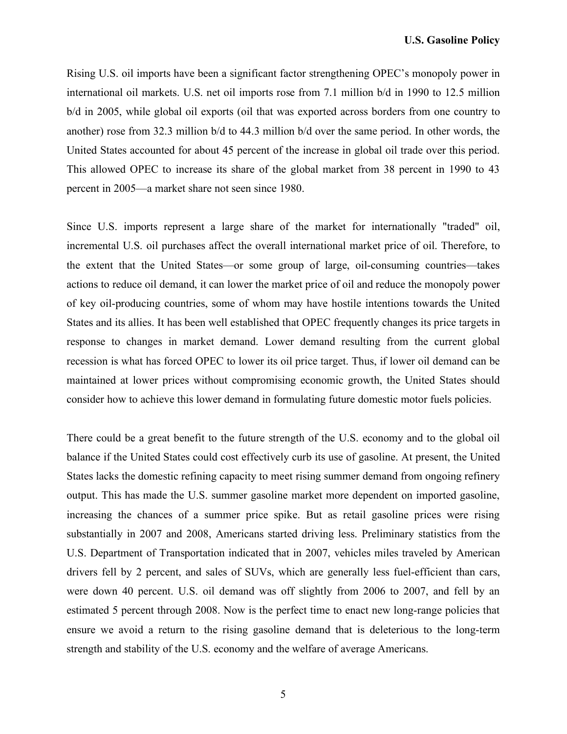Rising U.S. oil imports have been a significant factor strengthening OPEC's monopoly power in international oil markets. U.S. net oil imports rose from 7.1 million b/d in 1990 to 12.5 million b/d in 2005, while global oil exports (oil that was exported across borders from one country to another) rose from 32.3 million b/d to 44.3 million b/d over the same period. In other words, the United States accounted for about 45 percent of the increase in global oil trade over this period. This allowed OPEC to increase its share of the global market from 38 percent in 1990 to 43 percent in 2005—a market share not seen since 1980.

Since U.S. imports represent a large share of the market for internationally "traded" oil, incremental U.S. oil purchases affect the overall international market price of oil. Therefore, to the extent that the United States—or some group of large, oil-consuming countries—takes actions to reduce oil demand, it can lower the market price of oil and reduce the monopoly power of key oil-producing countries, some of whom may have hostile intentions towards the United States and its allies. It has been well established that OPEC frequently changes its price targets in response to changes in market demand. Lower demand resulting from the current global recession is what has forced OPEC to lower its oil price target. Thus, if lower oil demand can be maintained at lower prices without compromising economic growth, the United States should consider how to achieve this lower demand in formulating future domestic motor fuels policies.

There could be a great benefit to the future strength of the U.S. economy and to the global oil balance if the United States could cost effectively curb its use of gasoline. At present, the United States lacks the domestic refining capacity to meet rising summer demand from ongoing refinery output. This has made the U.S. summer gasoline market more dependent on imported gasoline, increasing the chances of a summer price spike. But as retail gasoline prices were rising substantially in 2007 and 2008, Americans started driving less. Preliminary statistics from the U.S. Department of Transportation indicated that in 2007, vehicles miles traveled by American drivers fell by 2 percent, and sales of SUVs, which are generally less fuel-efficient than cars, were down 40 percent. U.S. oil demand was off slightly from 2006 to 2007, and fell by an estimated 5 percent through 2008. Now is the perfect time to enact new long-range policies that ensure we avoid a return to the rising gasoline demand that is deleterious to the long-term strength and stability of the U.S. economy and the welfare of average Americans.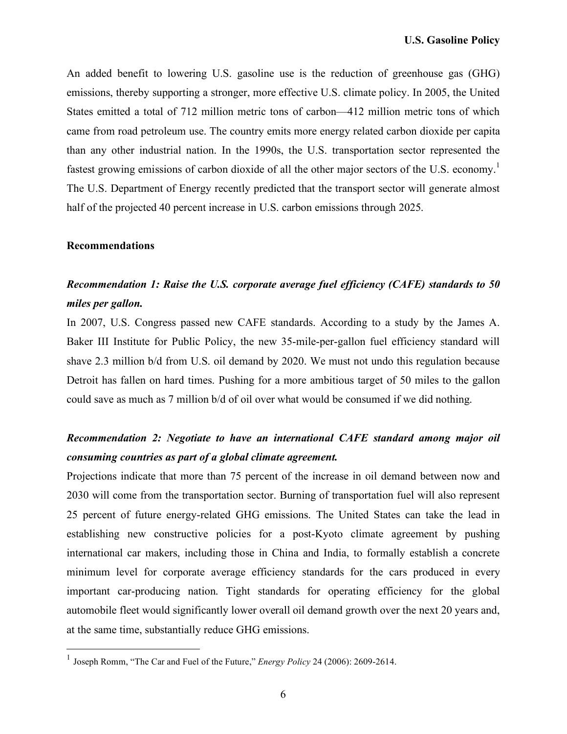An added benefit to lowering U.S. gasoline use is the reduction of greenhouse gas (GHG) emissions, thereby supporting a stronger, more effective U.S. climate policy. In 2005, the United States emitted a total of 712 million metric tons of carbon—412 million metric tons of which came from road petroleum use. The country emits more energy related carbon dioxide per capita than any other industrial nation. In the 1990s, the U.S. transportation sector represented the fastest growing emissions of carbon dioxide of all the other major sectors of the U.S. economy.<sup>1</sup> The U.S. Department of Energy recently predicted that the transport sector will generate almost half of the projected 40 percent increase in U.S. carbon emissions through 2025.

### **Recommendations**

# *Recommendation 1: Raise the U.S. corporate average fuel efficiency (CAFE) standards to 50 miles per gallon.*

In 2007, U.S. Congress passed new CAFE standards. According to a study by the James A. Baker III Institute for Public Policy, the new 35-mile-per-gallon fuel efficiency standard will shave 2.3 million b/d from U.S. oil demand by 2020. We must not undo this regulation because Detroit has fallen on hard times. Pushing for a more ambitious target of 50 miles to the gallon could save as much as 7 million b/d of oil over what would be consumed if we did nothing.

# *Recommendation 2: Negotiate to have an international CAFE standard among major oil consuming countries as part of a global climate agreement.*

Projections indicate that more than 75 percent of the increase in oil demand between now and 2030 will come from the transportation sector. Burning of transportation fuel will also represent 25 percent of future energy-related GHG emissions. The United States can take the lead in establishing new constructive policies for a post-Kyoto climate agreement by pushing international car makers, including those in China and India, to formally establish a concrete minimum level for corporate average efficiency standards for the cars produced in every important car-producing nation. Tight standards for operating efficiency for the global automobile fleet would significantly lower overall oil demand growth over the next 20 years and, at the same time, substantially reduce GHG emissions.

 <sup>1</sup> Joseph Romm, "The Car and Fuel of the Future," *Energy Policy* <sup>24</sup> (2006): 2609-2614.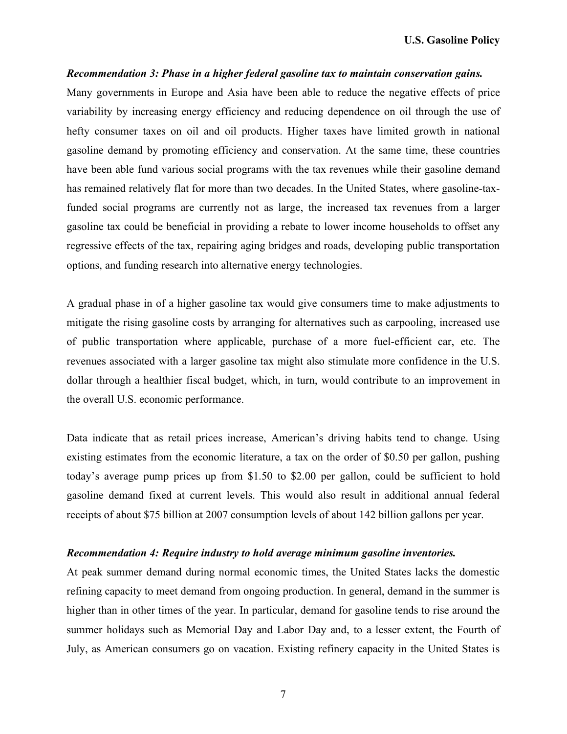#### *Recommendation 3: Phase in a higher federal gasoline tax to maintain conservation gains.*

Many governments in Europe and Asia have been able to reduce the negative effects of price variability by increasing energy efficiency and reducing dependence on oil through the use of hefty consumer taxes on oil and oil products. Higher taxes have limited growth in national gasoline demand by promoting efficiency and conservation. At the same time, these countries have been able fund various social programs with the tax revenues while their gasoline demand has remained relatively flat for more than two decades. In the United States, where gasoline-taxfunded social programs are currently not as large, the increased tax revenues from a larger gasoline tax could be beneficial in providing a rebate to lower income households to offset any regressive effects of the tax, repairing aging bridges and roads, developing public transportation options, and funding research into alternative energy technologies.

A gradual phase in of a higher gasoline tax would give consumers time to make adjustments to mitigate the rising gasoline costs by arranging for alternatives such as carpooling, increased use of public transportation where applicable, purchase of a more fuel-efficient car, etc. The revenues associated with a larger gasoline tax might also stimulate more confidence in the U.S. dollar through a healthier fiscal budget, which, in turn, would contribute to an improvement in the overall U.S. economic performance.

Data indicate that as retail prices increase, American's driving habits tend to change. Using existing estimates from the economic literature, a tax on the order of \$0.50 per gallon, pushing today's average pump prices up from \$1.50 to \$2.00 per gallon, could be sufficient to hold gasoline demand fixed at current levels. This would also result in additional annual federal receipts of about \$75 billion at 2007 consumption levels of about 142 billion gallons per year.

#### *Recommendation 4: Require industry to hold average minimum gasoline inventories.*

At peak summer demand during normal economic times, the United States lacks the domestic refining capacity to meet demand from ongoing production. In general, demand in the summer is higher than in other times of the year. In particular, demand for gasoline tends to rise around the summer holidays such as Memorial Day and Labor Day and, to a lesser extent, the Fourth of July, as American consumers go on vacation. Existing refinery capacity in the United States is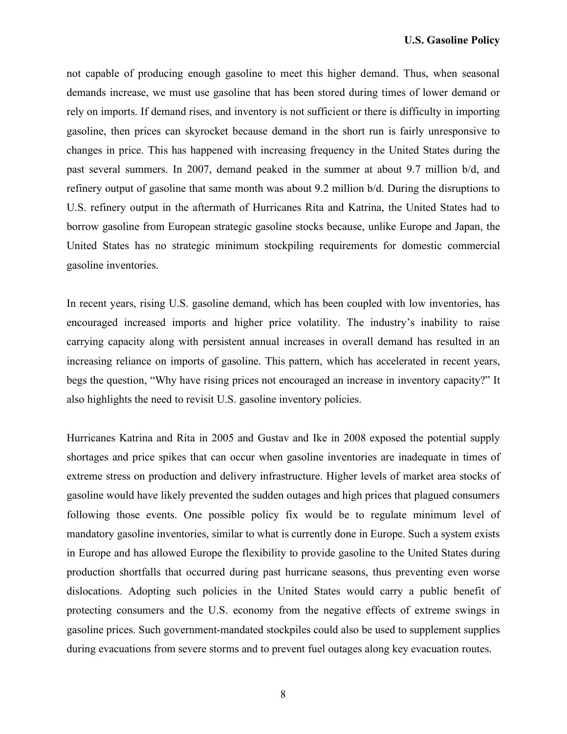not capable of producing enough gasoline to meet this higher demand. Thus, when seasonal demands increase, we must use gasoline that has been stored during times of lower demand or rely on imports. If demand rises, and inventory is not sufficient or there is difficulty in importing gasoline, then prices can skyrocket because demand in the short run is fairly unresponsive to changes in price. This has happened with increasing frequency in the United States during the past several summers. In 2007, demand peaked in the summer at about 9.7 million b/d, and refinery output of gasoline that same month was about 9.2 million b/d. During the disruptions to U.S. refinery output in the aftermath of Hurricanes Rita and Katrina, the United States had to borrow gasoline from European strategic gasoline stocks because, unlike Europe and Japan, the United States has no strategic minimum stockpiling requirements for domestic commercial gasoline inventories.

In recent years, rising U.S. gasoline demand, which has been coupled with low inventories, has encouraged increased imports and higher price volatility. The industry's inability to raise carrying capacity along with persistent annual increases in overall demand has resulted in an increasing reliance on imports of gasoline. This pattern, which has accelerated in recent years, begs the question, "Why have rising prices not encouraged an increase in inventory capacity?" It also highlights the need to revisit U.S. gasoline inventory policies.

Hurricanes Katrina and Rita in 2005 and Gustav and Ike in 2008 exposed the potential supply shortages and price spikes that can occur when gasoline inventories are inadequate in times of extreme stress on production and delivery infrastructure. Higher levels of market area stocks of gasoline would have likely prevented the sudden outages and high prices that plagued consumers following those events. One possible policy fix would be to regulate minimum level of mandatory gasoline inventories, similar to what is currently done in Europe. Such a system exists in Europe and has allowed Europe the flexibility to provide gasoline to the United States during production shortfalls that occurred during past hurricane seasons, thus preventing even worse dislocations. Adopting such policies in the United States would carry a public benefit of protecting consumers and the U.S. economy from the negative effects of extreme swings in gasoline prices. Such government-mandated stockpiles could also be used to supplement supplies during evacuations from severe storms and to prevent fuel outages along key evacuation routes.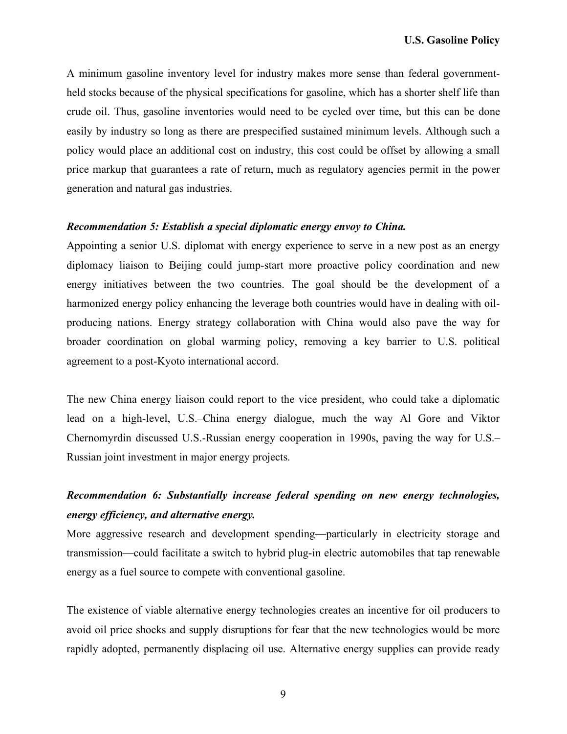A minimum gasoline inventory level for industry makes more sense than federal governmentheld stocks because of the physical specifications for gasoline, which has a shorter shelf life than crude oil. Thus, gasoline inventories would need to be cycled over time, but this can be done easily by industry so long as there are prespecified sustained minimum levels. Although such a policy would place an additional cost on industry, this cost could be offset by allowing a small price markup that guarantees a rate of return, much as regulatory agencies permit in the power generation and natural gas industries.

### *Recommendation 5: Establish a special diplomatic energy envoy to China.*

Appointing a senior U.S. diplomat with energy experience to serve in a new post as an energy diplomacy liaison to Beijing could jump-start more proactive policy coordination and new energy initiatives between the two countries. The goal should be the development of a harmonized energy policy enhancing the leverage both countries would have in dealing with oilproducing nations. Energy strategy collaboration with China would also pave the way for broader coordination on global warming policy, removing a key barrier to U.S. political agreement to a post-Kyoto international accord.

The new China energy liaison could report to the vice president, who could take a diplomatic lead on a high-level, U.S.–China energy dialogue, much the way Al Gore and Viktor Chernomyrdin discussed U.S.-Russian energy cooperation in 1990s, paving the way for U.S.– Russian joint investment in major energy projects.

# *Recommendation 6: Substantially increase federal spending on new energy technologies, energy efficiency, and alternative energy.*

More aggressive research and development spending—particularly in electricity storage and transmission—could facilitate a switch to hybrid plug-in electric automobiles that tap renewable energy as a fuel source to compete with conventional gasoline.

The existence of viable alternative energy technologies creates an incentive for oil producers to avoid oil price shocks and supply disruptions for fear that the new technologies would be more rapidly adopted, permanently displacing oil use. Alternative energy supplies can provide ready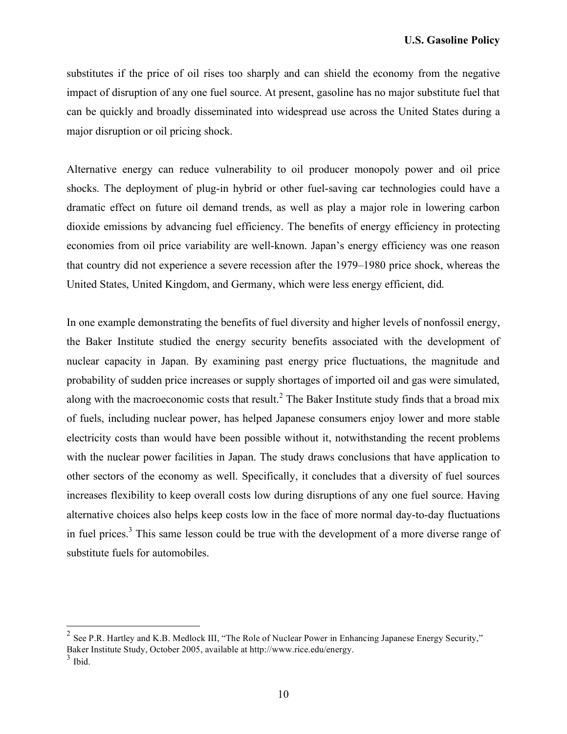substitutes if the price of oil rises too sharply and can shield the economy from the negative impact of disruption of any one fuel source. At present, gasoline has no major substitute fuel that can be quickly and broadly disseminated into widespread use across the United States during a major disruption or oil pricing shock.

Alternative energy can reduce vulnerability to oil producer monopoly power and oil price shocks. The deployment of plug-in hybrid or other fuel-saving car technologies could have a dramatic effect on future oil demand trends, as well as play a major role in lowering carbon dioxide emissions by advancing fuel efficiency. The benefits of energy efficiency in protecting economies from oil price variability are well-known. Japan's energy efficiency was one reason that country did not experience a severe recession after the 1979–1980 price shock, whereas the United States, United Kingdom, and Germany, which were less energy efficient, did.

In one example demonstrating the benefits of fuel diversity and higher levels of nonfossil energy, the Baker Institute studied the energy security benefits associated with the development of nuclear capacity in Japan. By examining past energy price fluctuations, the magnitude and probability of sudden price increases or supply shortages of imported oil and gas were simulated, along with the macroeconomic costs that result.<sup>2</sup> The Baker Institute study finds that a broad mix of fuels, including nuclear power, has helped Japanese consumers enjoy lower and more stable electricity costs than would have been possible without it, notwithstanding the recent problems with the nuclear power facilities in Japan. The study draws conclusions that have application to other sectors of the economy as well. Specifically, it concludes that a diversity of fuel sources increases flexibility to keep overall costs low during disruptions of any one fuel source. Having alternative choices also helps keep costs low in the face of more normal day-to-day fluctuations in fuel prices.<sup>3</sup> This same lesson could be true with the development of a more diverse range of substitute fuels for automobiles.

<sup>&</sup>lt;sup>2</sup> See P.R. Hartley and K.B. Medlock III, "The Role of Nuclear Power in Enhancing Japanese Energy Security," Baker Institute Study, October 2005, available at http://www.rice.edu/energy.<br><sup>3</sup> Ibid.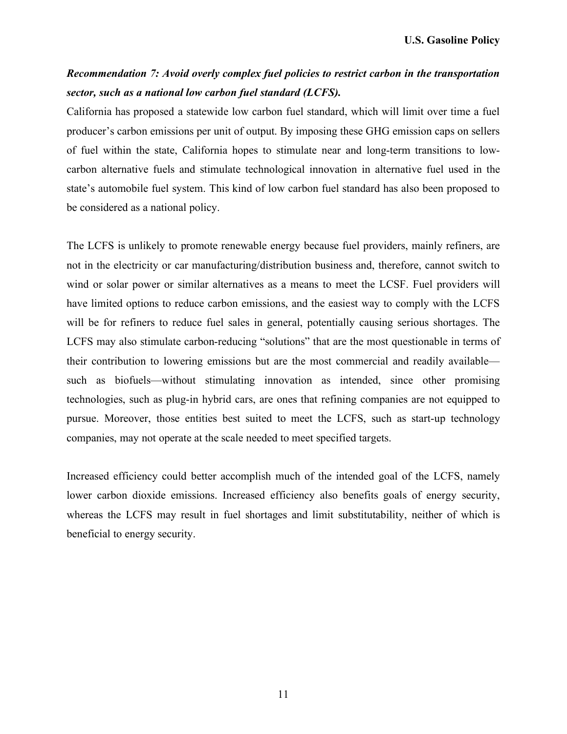# *Recommendation 7: Avoid overly complex fuel policies to restrict carbon in the transportation sector, such as a national low carbon fuel standard (LCFS).*

California has proposed a statewide low carbon fuel standard, which will limit over time a fuel producer's carbon emissions per unit of output. By imposing these GHG emission caps on sellers of fuel within the state, California hopes to stimulate near and long-term transitions to lowcarbon alternative fuels and stimulate technological innovation in alternative fuel used in the state's automobile fuel system. This kind of low carbon fuel standard has also been proposed to be considered as a national policy.

The LCFS is unlikely to promote renewable energy because fuel providers, mainly refiners, are not in the electricity or car manufacturing/distribution business and, therefore, cannot switch to wind or solar power or similar alternatives as a means to meet the LCSF. Fuel providers will have limited options to reduce carbon emissions, and the easiest way to comply with the LCFS will be for refiners to reduce fuel sales in general, potentially causing serious shortages. The LCFS may also stimulate carbon-reducing "solutions" that are the most questionable in terms of their contribution to lowering emissions but are the most commercial and readily available such as biofuels—without stimulating innovation as intended, since other promising technologies, such as plug-in hybrid cars, are ones that refining companies are not equipped to pursue. Moreover, those entities best suited to meet the LCFS, such as start-up technology companies, may not operate at the scale needed to meet specified targets.

Increased efficiency could better accomplish much of the intended goal of the LCFS, namely lower carbon dioxide emissions. Increased efficiency also benefits goals of energy security, whereas the LCFS may result in fuel shortages and limit substitutability, neither of which is beneficial to energy security.